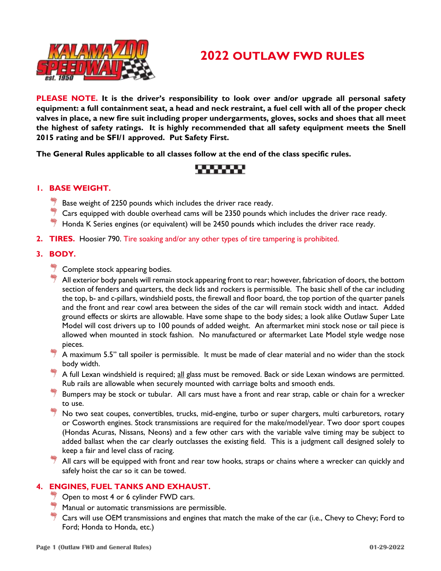



**PLEASE NOTE. It is the driver's responsibility to look over and/or upgrade all personal safety equipment: a full containment seat, a head and neck restraint, a fuel cell with all of the proper check valves in place, a new fire suit including proper undergarments, gloves, socks and shoes that all meet the highest of safety ratings. It is highly recommended that all safety equipment meets the Snell 2015 rating and be SFI/1 approved. Put Safety First.**

**The General Rules applicable to all classes follow at the end of the class specific rules.** 

## ,,,,,,,,

#### **1. BASE WEIGHT.**

- Base weight of 2250 pounds which includes the driver race ready.
- $\stackrel{\text{\tiny def}}{=}$  Cars equipped with double overhead cams will be 2350 pounds which includes the driver race ready.
- $*$  Honda K Series engines (or equivalent) will be 2450 pounds which includes the driver race ready.
- **2. TIRES.** Hoosier 790. Tire soaking and/or any other types of tire tampering is prohibited.

#### **3. BODY.**

- $\frac{44}{7}$  Complete stock appearing bodies.
- $\overline{\mathcal{T}}$  All exterior body panels will remain stock appearing front to rear; however, fabrication of doors, the bottom section of fenders and quarters, the deck lids and rockers is permissible. The basic shell of the car including the top, b- and c-pillars, windshield posts, the firewall and floor board, the top portion of the quarter panels and the front and rear cowl area between the sides of the car will remain stock width and intact. Added ground effects or skirts are allowable. Have some shape to the body sides; a look alike Outlaw Super Late Model will cost drivers up to 100 pounds of added weight. An aftermarket mini stock nose or tail piece is allowed when mounted in stock fashion. No manufactured or aftermarket Late Model style wedge nose pieces.
- A maximum 5.5" tall spoiler is permissible. It must be made of clear material and no wider than the stock body width.
- $\overline{7}$  A full Lexan windshield is required; all glass must be removed. Back or side Lexan windows are permitted. Rub rails are allowable when securely mounted with carriage bolts and smooth ends.
- Bumpers may be stock or tubular. All cars must have a front and rear strap, cable or chain for a wrecker to use.
- No two seat coupes, convertibles, trucks, mid-engine, turbo or super chargers, multi carburetors, rotary or Cosworth engines. Stock transmissions are required for the make/model/year. Two door sport coupes (Hondas Acuras, Nissans, Neons) and a few other cars with the variable valve timing may be subject to added ballast when the car clearly outclasses the existing field. This is a judgment call designed solely to keep a fair and level class of racing.
- $\stackrel{\text{\tiny def}}{=}$  All cars will be equipped with front and rear tow hooks, straps or chains where a wrecker can quickly and safely hoist the car so it can be towed.

#### **4. ENGINES, FUEL TANKS AND EXHAUST.**

- $\overline{\phantom{a}}$  Open to most 4 or 6 cylinder FWD cars.
- Manual or automatic transmissions are permissible.
- Cars will use OEM transmissions and engines that match the make of the car (i.e., Chevy to Chevy; Ford to Ford; Honda to Honda, etc.)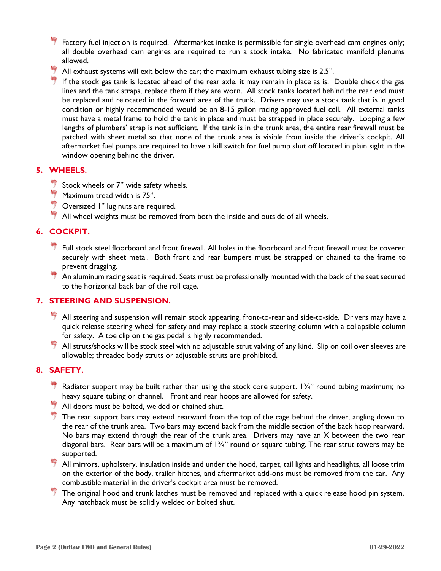- Factory fuel injection is required. Aftermarket intake is permissible for single overhead cam engines only; all double overhead cam engines are required to run a stock intake. No fabricated manifold plenums allowed.
- All exhaust systems will exit below the car; the maximum exhaust tubing size is 2.5".
- If the stock gas tank is located ahead of the rear axle, it may remain in place as is. Double check the gas lines and the tank straps, replace them if they are worn. All stock tanks located behind the rear end must be replaced and relocated in the forward area of the trunk. Drivers may use a stock tank that is in good condition or highly recommended would be an 8-15 gallon racing approved fuel cell. All external tanks must have a metal frame to hold the tank in place and must be strapped in place securely. Looping a few lengths of plumbers' strap is not sufficient. If the tank is in the trunk area, the entire rear firewall must be patched with sheet metal so that none of the trunk area is visible from inside the driver's cockpit. All aftermarket fuel pumps are required to have a kill switch for fuel pump shut off located in plain sight in the window opening behind the driver.

#### **5. WHEELS.**

- $\frac{1}{3}$  Stock wheels or 7" wide safety wheels.
- $\overset{\text{\tiny def}}{=}$  Maximum tread width is 75".
- $\frac{44}{7}$  Oversized I" lug nuts are required.
- $*$  All wheel weights must be removed from both the inside and outside of all wheels.

### **6. COCKPIT.**

- Full stock steel floorboard and front firewall. All holes in the floorboard and front firewall must be covered securely with sheet metal. Both front and rear bumpers must be strapped or chained to the frame to prevent dragging.
- $\frac{4\pi}{3}$  An aluminum racing seat is required. Seats must be professionally mounted with the back of the seat secured to the horizontal back bar of the roll cage.

#### **7. STEERING AND SUSPENSION.**

- $\overset{\text{\tiny def}}{>}$  All steering and suspension will remain stock appearing, front-to-rear and side-to-side. Drivers may have a quick release steering wheel for safety and may replace a stock steering column with a collapsible column for safety. A toe clip on the gas pedal is highly recommended.
- <sup>#</sup> All struts/shocks will be stock steel with no adjustable strut valving of any kind. Slip on coil over sleeves are allowable; threaded body struts or adjustable struts are prohibited.

#### **8. SAFETY.**

- Radiator support may be built rather than using the stock core support. 1¾" round tubing maximum; no heavy square tubing or channel. Front and rear hoops are allowed for safety.
- $\frac{4}{3}$  All doors must be bolted, welded or chained shut.
- $\stackrel{\text{\tiny def}}{=}$  The rear support bars may extend rearward from the top of the cage behind the driver, angling down to the rear of the trunk area. Two bars may extend back from the middle section of the back hoop rearward. No bars may extend through the rear of the trunk area. Drivers may have an X between the two rear diagonal bars. Rear bars will be a maximum of  $1\frac{3}{4}$ " round or square tubing. The rear strut towers may be supported.
- $^{\ast\ast}$  All mirrors, upholstery, insulation inside and under the hood, carpet, tail lights and headlights, all loose trim on the exterior of the body, trailer hitches, and aftermarket add-ons must be removed from the car. Any combustible material in the driver's cockpit area must be removed.
- $\overset{\text{\tiny def}}{=}$  The original hood and trunk latches must be removed and replaced with a quick release hood pin system. Any hatchback must be solidly welded or bolted shut.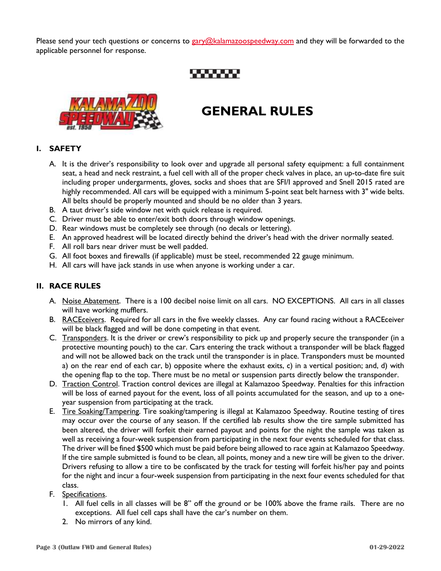Please send your tech questions or concerns to [gary@kalamazoospeedway.com](mailto:gary@kalamazoospeedway.com) and they will be forwarded to the applicable personnel for response.

,,,,,,,,



# **GENERAL RULES**

#### **I. SAFETY**

- A. It is the driver's responsibility to look over and upgrade all personal safety equipment: a full containment seat, a head and neck restraint, a fuel cell with all of the proper check valves in place, an up-to-date fire suit including proper undergarments, gloves, socks and shoes that are SFI/I approved and Snell 2015 rated are highly recommended. All cars will be equipped with a minimum 5-point seat belt harness with 3" wide belts. All belts should be properly mounted and should be no older than 3 years.
- B. A taut driver's side window net with quick release is required.
- C. Driver must be able to enter/exit both doors through window openings.
- D. Rear windows must be completely see through (no decals or lettering).
- E. An approved headrest will be located directly behind the driver's head with the driver normally seated.
- F. All roll bars near driver must be well padded.
- G. All foot boxes and firewalls (if applicable) must be steel, recommended 22 gauge minimum.
- H. All cars will have jack stands in use when anyone is working under a car.

#### **II. RACE RULES**

- A. Noise Abatement. There is a 100 decibel noise limit on all cars. NO EXCEPTIONS. All cars in all classes will have working mufflers.
- B. RACEceivers. Required for all cars in the five weekly classes. Any car found racing without a RACEceiver will be black flagged and will be done competing in that event.
- C. Transponders. It is the driver or crew's responsibility to pick up and properly secure the transponder (in a protective mounting pouch) to the car. Cars entering the track without a transponder will be black flagged and will not be allowed back on the track until the transponder is in place. Transponders must be mounted a) on the rear end of each car, b) opposite where the exhaust exits, c) in a vertical position; and, d) with the opening flap to the top. There must be no metal or suspension parts directly below the transponder.
- D. Traction Control. Traction control devices are illegal at Kalamazoo Speedway. Penalties for this infraction will be loss of earned payout for the event, loss of all points accumulated for the season, and up to a oneyear suspension from participating at the track.
- E. Tire Soaking/Tampering. Tire soaking/tampering is illegal at Kalamazoo Speedway. Routine testing of tires may occur over the course of any season. If the certified lab results show the tire sample submitted has been altered, the driver will forfeit their earned payout and points for the night the sample was taken as well as receiving a four-week suspension from participating in the next four events scheduled for that class. The driver will be fined \$500 which must be paid before being allowed to race again at Kalamazoo Speedway. If the tire sample submitted is found to be clean, all points, money and a new tire will be given to the driver. Drivers refusing to allow a tire to be confiscated by the track for testing will forfeit his/her pay and points for the night and incur a four-week suspension from participating in the next four events scheduled for that class.
- F. Specifications.
	- 1. All fuel cells in all classes will be 8" off the ground or be 100% above the frame rails. There are no exceptions. All fuel cell caps shall have the car's number on them.
	- 2. No mirrors of any kind.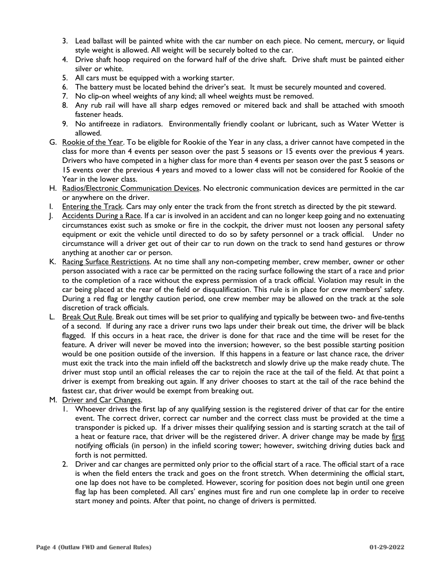- 3. Lead ballast will be painted white with the car number on each piece. No cement, mercury, or liquid style weight is allowed. All weight will be securely bolted to the car.
- 4. Drive shaft hoop required on the forward half of the drive shaft. Drive shaft must be painted either silver or white.
- 5. All cars must be equipped with a working starter.
- 6. The battery must be located behind the driver's seat. It must be securely mounted and covered.
- 7. No clip-on wheel weights of any kind; all wheel weights must be removed.
- 8. Any rub rail will have all sharp edges removed or mitered back and shall be attached with smooth fastener heads.
- 9. No antifreeze in radiators. Environmentally friendly coolant or lubricant, such as Water Wetter is allowed.
- G. Rookie of the Year. To be eligible for Rookie of the Year in any class, a driver cannot have competed in the class for more than 4 events per season over the past 5 seasons or 15 events over the previous 4 years. Drivers who have competed in a higher class for more than 4 events per season over the past 5 seasons or 15 events over the previous 4 years and moved to a lower class will not be considered for Rookie of the Year in the lower class.
- H. Radios/Electronic Communication Devices. No electronic communication devices are permitted in the car or anywhere on the driver.
- I. Entering the Track. Cars may only enter the track from the front stretch as directed by the pit steward.
- J. Accidents During a Race. If a car is involved in an accident and can no longer keep going and no extenuating circumstances exist such as smoke or fire in the cockpit, the driver must not loosen any personal safety equipment or exit the vehicle until directed to do so by safety personnel or a track official. Under no circumstance will a driver get out of their car to run down on the track to send hand gestures or throw anything at another car or person.
- K. Racing Surface Restrictions. At no time shall any non-competing member, crew member, owner or other person associated with a race car be permitted on the racing surface following the start of a race and prior to the completion of a race without the express permission of a track official. Violation may result in the car being placed at the rear of the field or disqualification. This rule is in place for crew members' safety. During a red flag or lengthy caution period, one crew member may be allowed on the track at the sole discretion of track officials.
- L. Break Out Rule. Break out times will be set prior to qualifying and typically be between two- and five-tenths of a second. If during any race a driver runs two laps under their break out time, the driver will be black flagged. If this occurs in a heat race, the driver is done for that race and the time will be reset for the feature. A driver will never be moved into the inversion; however, so the best possible starting position would be one position outside of the inversion. If this happens in a feature or last chance race, the driver must exit the track into the main infield off the backstretch and slowly drive up the make ready chute. The driver must stop until an official releases the car to rejoin the race at the tail of the field. At that point a driver is exempt from breaking out again. If any driver chooses to start at the tail of the race behind the fastest car, that driver would be exempt from breaking out.
- M. Driver and Car Changes.
	- 1. Whoever drives the first lap of any qualifying session is the registered driver of that car for the entire event. The correct driver, correct car number and the correct class must be provided at the time a transponder is picked up. If a driver misses their qualifying session and is starting scratch at the tail of a heat or feature race, that driver will be the registered driver. A driver change may be made by first notifying officials (in person) in the infield scoring tower; however, switching driving duties back and forth is not permitted.
	- 2. Driver and car changes are permitted only prior to the official start of a race. The official start of a race is when the field enters the track and goes on the front stretch. When determining the official start, one lap does not have to be completed. However, scoring for position does not begin until one green flag lap has been completed. All cars' engines must fire and run one complete lap in order to receive start money and points. After that point, no change of drivers is permitted.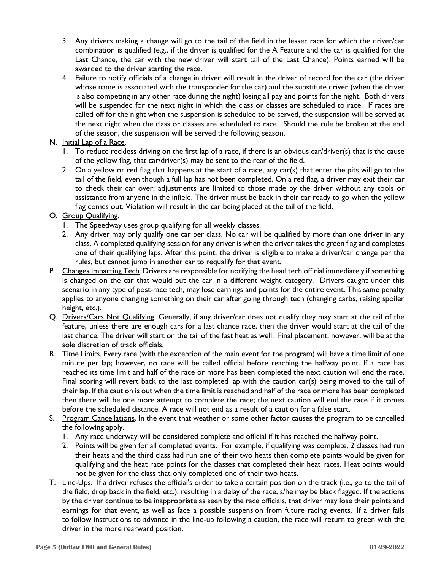- 3. Any drivers making a change will go to the tail of the field in the lesser race for which the driver/car combination is qualified (e.g., if the driver is qualified for the A Feature and the car is qualified for the Last Chance, the car with the new driver will start tail of the Last Chance). Points earned will be awarded to the driver starting the race.
- 4. Failure to notify officials of a change in driver will result in the driver of record for the car (the driver whose name is associated with the transponder for the car) and the substitute driver (when the driver is also competing in any other race during the night) losing all pay and points for the night. Both drivers will be suspended for the next night in which the class or classes are scheduled to race. If races are called off for the night when the suspension is scheduled to be served, the suspension will be served at the next night when the class or classes are scheduled to race. Should the rule be broken at the end of the season, the suspension will be served the following season.
- N. Initial Lap of a Race.
	- 1. To reduce reckless driving on the first lap of a race, if there is an obvious car/driver(s) that is the cause of the yellow flag, that car/driver(s) may be sent to the rear of the field.
	- 2. On a yellow or red flag that happens at the start of a race, any car(s) that enter the pits will go to the tail of the field, even though a full lap has not been completed. On a red flag, a driver may exit their car to check their car over; adjustments are limited to those made by the driver without any tools or assistance from anyone in the infield. The driver must be back in their car ready to go when the yellow flag comes out. Violation will result in the car being placed at the tail of the field.
- O. Group Qualifying.
	- 1. The Speedway uses group qualifying for all weekly classes.
	- 2. Any driver may only qualify one car per class. No car will be qualified by more than one driver in any class. A completed qualifying session for any driver is when the driver takes the green flag and completes one of their qualifying laps. After this point, the driver is eligible to make a driver/car change per the rules, but cannot jump in another car to requalify for that event.
- P. Changes Impacting Tech. Drivers are responsible for notifying the head tech official immediately if something is changed on the car that would put the car in a different weight category. Drivers caught under this scenario in any type of post-race tech, may lose earnings and points for the entire event. This same penalty applies to anyone changing something on their car after going through tech (changing carbs, raising spoiler height, etc.).
- Q. Drivers/Cars Not Qualifying. Generally, if any driver/car does not qualify they may start at the tail of the feature, unless there are enough cars for a last chance race, then the driver would start at the tail of the last chance. The driver will start on the tail of the fast heat as well. Final placement; however, will be at the sole discretion of track officials.
- R. Time Limits. Every race (with the exception of the main event for the program) will have a time limit of one minute per lap; however, no race will be called official before reaching the halfway point. If a race has reached its time limit and half of the race or more has been completed the next caution will end the race. Final scoring will revert back to the last completed lap with the caution car(s) being moved to the tail of their lap. If the caution is out when the time limit is reached and half of the race or more has been completed then there will be one more attempt to complete the race; the next caution will end the race if it comes before the scheduled distance. A race will not end as a result of a caution for a false start.
- S. Program Cancellations. In the event that weather or some other factor causes the program to be cancelled the following apply.
	- 1. Any race underway will be considered complete and official if it has reached the halfway point.
	- 2. Points will be given for all completed events. For example, if qualifying was complete, 2 classes had run their heats and the third class had run one of their two heats then complete points would be given for qualifying and the heat race points for the classes that completed their heat races. Heat points would not be given for the class that only completed one of their two heats.
- T. Line-Ups. If a driver refuses the official's order to take a certain position on the track (i.e., go to the tail of the field, drop back in the field, etc.), resulting in a delay of the race, s/he may be black flagged. If the actions by the driver continue to be inappropriate as seen by the race officials, that driver may lose their points and earnings for that event, as well as face a possible suspension from future racing events. If a driver fails to follow instructions to advance in the line-up following a caution, the race will return to green with the driver in the more rearward position.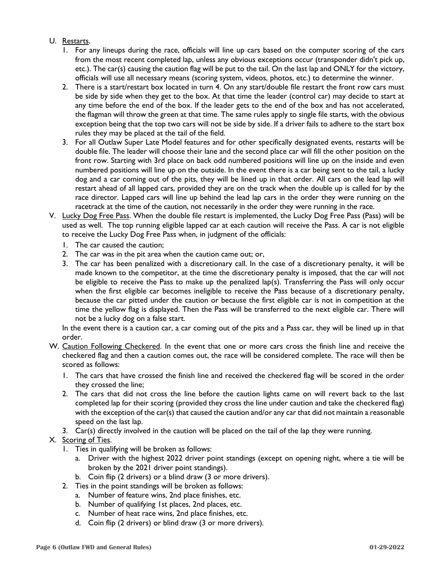#### U. Restarts.

- 1. For any lineups during the race, officials will line up cars based on the computer scoring of the cars from the most recent completed lap, unless any obvious exceptions occur (transponder didn't pick up, etc.). The car(s) causing the caution flag will be put to the tail. On the last lap and ONLY for the victory, officials will use all necessary means (scoring system, videos, photos, etc.) to determine the winner.
- 2. There is a start/restart box located in turn 4. On any start/double file restart the front row cars must be side by side when they get to the box. At that time the leader (control car) may decide to start at any time before the end of the box. If the leader gets to the end of the box and has not accelerated, the flagman will throw the green at that time. The same rules apply to single file starts, with the obvious exception being that the top two cars will not be side by side. If a driver fails to adhere to the start box rules they may be placed at the tail of the field.
- 3. For all Outlaw Super Late Model features and for other specifically designated events, restarts will be double file. The leader will choose their lane and the second place car will fill the other position on the front row. Starting with 3rd place on back odd numbered positions will line up on the inside and even numbered positions will line up on the outside. In the event there is a car being sent to the tail, a lucky dog and a car coming out of the pits, they will be lined up in that order. All cars on the lead lap will restart ahead of all lapped cars, provided they are on the track when the double up is called for by the race director. Lapped cars will line up behind the lead lap cars in the order they were running on the racetrack at the time of the caution, not necessarily in the order they were running in the race.
- V. Lucky Dog Free Pass. When the double file restart is implemented, the Lucky Dog Free Pass (Pass) will be used as well. The top running eligible lapped car at each caution will receive the Pass. A car is not eligible to receive the Lucky Dog Free Pass when, in judgment of the officials:
	- 1. The car caused the caution;
	- 2. The car was in the pit area when the caution came out; or,
	- 3. The car has been penalized with a discretionary call. In the case of a discretionary penalty, it will be made known to the competitor, at the time the discretionary penalty is imposed, that the car will not be eligible to receive the Pass to make up the penalized lap(s). Transferring the Pass will only occur when the first eligible car becomes ineligible to receive the Pass because of a discretionary penalty, because the car pitted under the caution or because the first eligible car is not in competition at the time the yellow flag is displayed. Then the Pass will be transferred to the next eligible car. There will not be a lucky dog on a false start.

In the event there is a caution car, a car coming out of the pits and a Pass car, they will be lined up in that order.

- W. Caution Following Checkered. In the event that one or more cars cross the finish line and receive the checkered flag and then a caution comes out, the race will be considered complete. The race will then be scored as follows:
	- 1. The cars that have crossed the finish line and received the checkered flag will be scored in the order they crossed the line;
	- 2. The cars that did not cross the line before the caution lights came on will revert back to the last completed lap for their scoring (provided they cross the line under caution and take the checkered flag) with the exception of the car(s) that caused the caution and/or any car that did not maintain a reasonable speed on the last lap.
	- 3. Car(s) directly involved in the caution will be placed on the tail of the lap they were running.

#### X. Scoring of Ties.

- 1. Ties in qualifying will be broken as follows:
	- a. Driver with the highest 2022 driver point standings (except on opening night, where a tie will be broken by the 2021 driver point standings).
	- b. Coin flip (2 drivers) or a blind draw (3 or more drivers).
- 2. Ties in the point standings will be broken as follows:
	- a. Number of feature wins, 2nd place finishes, etc.
		- b. Number of qualifying 1st places, 2nd places, etc.
		- c. Number of heat race wins, 2nd place finishes, etc.
		- d. Coin flip (2 drivers) or blind draw (3 or more drivers).